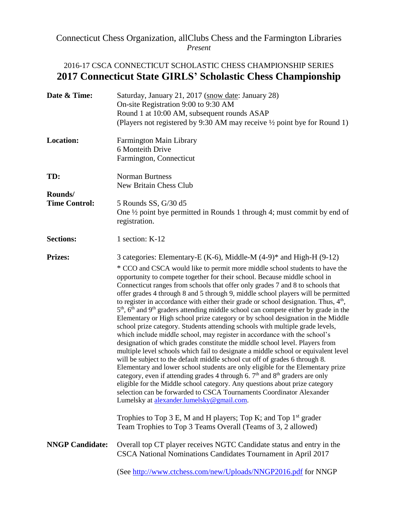## Connecticut Chess Organization, allClubs Chess and the Farmington Libraries *Present*

## 2016-17 CSCA CONNECTICUT SCHOLASTIC CHESS CHAMPIONSHIP SERIES **2017 Connecticut State GIRLS' Scholastic Chess Championship**

| Date & Time:                    | Saturday, January 21, 2017 (snow date: January 28)<br>On-site Registration 9:00 to 9:30 AM<br>Round 1 at 10:00 AM, subsequent rounds ASAP<br>(Players not registered by 9:30 AM may receive 1/2 point bye for Round 1)                                                                                                                                                                                                                                                                                                                                                                                                                                                                                                                                                                                                                                                                                                                                                                                                                                                                                                                                                                                                                                                                                                                                                                                                                                                                                                                                                                   |
|---------------------------------|------------------------------------------------------------------------------------------------------------------------------------------------------------------------------------------------------------------------------------------------------------------------------------------------------------------------------------------------------------------------------------------------------------------------------------------------------------------------------------------------------------------------------------------------------------------------------------------------------------------------------------------------------------------------------------------------------------------------------------------------------------------------------------------------------------------------------------------------------------------------------------------------------------------------------------------------------------------------------------------------------------------------------------------------------------------------------------------------------------------------------------------------------------------------------------------------------------------------------------------------------------------------------------------------------------------------------------------------------------------------------------------------------------------------------------------------------------------------------------------------------------------------------------------------------------------------------------------|
| <b>Location:</b>                | <b>Farmington Main Library</b><br>6 Monteith Drive<br>Farmington, Connecticut                                                                                                                                                                                                                                                                                                                                                                                                                                                                                                                                                                                                                                                                                                                                                                                                                                                                                                                                                                                                                                                                                                                                                                                                                                                                                                                                                                                                                                                                                                            |
| TD:                             | <b>Norman Burtness</b><br>New Britain Chess Club                                                                                                                                                                                                                                                                                                                                                                                                                                                                                                                                                                                                                                                                                                                                                                                                                                                                                                                                                                                                                                                                                                                                                                                                                                                                                                                                                                                                                                                                                                                                         |
| Rounds/<br><b>Time Control:</b> | 5 Rounds SS, G/30 d5<br>One $\frac{1}{2}$ point bye permitted in Rounds 1 through 4; must commit by end of<br>registration.                                                                                                                                                                                                                                                                                                                                                                                                                                                                                                                                                                                                                                                                                                                                                                                                                                                                                                                                                                                                                                                                                                                                                                                                                                                                                                                                                                                                                                                              |
| <b>Sections:</b>                | 1 section: K-12                                                                                                                                                                                                                                                                                                                                                                                                                                                                                                                                                                                                                                                                                                                                                                                                                                                                                                                                                                                                                                                                                                                                                                                                                                                                                                                                                                                                                                                                                                                                                                          |
| <b>Prizes:</b>                  | 3 categories: Elementary-E (K-6), Middle-M $(4-9)^*$ and High-H $(9-12)$<br>* CCO and CSCA would like to permit more middle school students to have the<br>opportunity to compete together for their school. Because middle school in<br>Connecticut ranges from schools that offer only grades 7 and 8 to schools that<br>offer grades 4 through 8 and 5 through 9, middle school players will be permitted<br>to register in accordance with either their grade or school designation. Thus, $4th$ ,<br>5 <sup>th</sup> , 6 <sup>th</sup> and 9 <sup>th</sup> graders attending middle school can compete either by grade in the<br>Elementary or High school prize category or by school designation in the Middle<br>school prize category. Students attending schools with multiple grade levels,<br>which include middle school, may register in accordance with the school's<br>designation of which grades constitute the middle school level. Players from<br>multiple level schools which fail to designate a middle school or equivalent level<br>will be subject to the default middle school cut off of grades 6 through 8.<br>Elementary and lower school students are only eligible for the Elementary prize<br>category, even if attending grades 4 through 6. $7th$ and $8th$ graders are only<br>eligible for the Middle school category. Any questions about prize category<br>selection can be forwarded to CSCA Tournaments Coordinator Alexander<br>Lumelsky at alexander.lumelsky@gmail.com.<br>Trophies to Top 3 E, M and H players; Top K; and Top $1st$ grader |
| <b>NNGP Candidate:</b>          | Team Trophies to Top 3 Teams Overall (Teams of 3, 2 allowed)<br>Overall top CT player receives NGTC Candidate status and entry in the                                                                                                                                                                                                                                                                                                                                                                                                                                                                                                                                                                                                                                                                                                                                                                                                                                                                                                                                                                                                                                                                                                                                                                                                                                                                                                                                                                                                                                                    |
|                                 | CSCA National Nominations Candidates Tournament in April 2017<br>(See http://www.ctchess.com/new/Uploads/NNGP2016.pdf for NNGP                                                                                                                                                                                                                                                                                                                                                                                                                                                                                                                                                                                                                                                                                                                                                                                                                                                                                                                                                                                                                                                                                                                                                                                                                                                                                                                                                                                                                                                           |